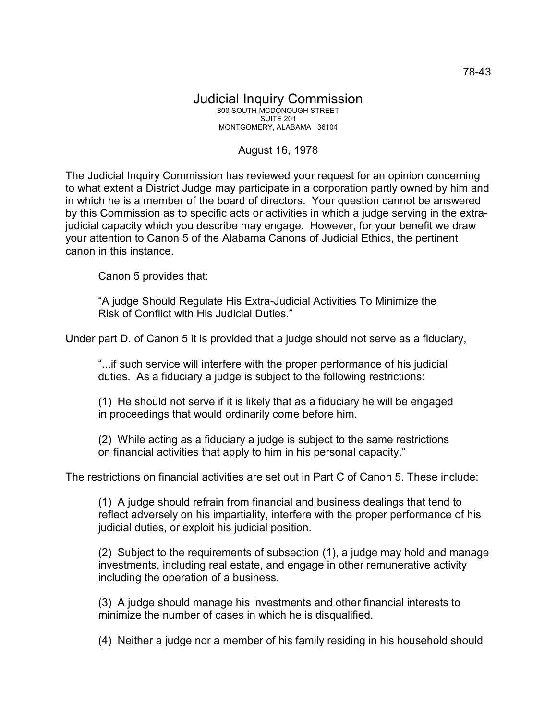## Judicial Inquiry Commission 800 SOUTH MCDONOUGH STREET SUITE 201 MONTGOMERY, ALABAMA 36104

## August 16, 1978

The Judicial Inquiry Commission has reviewed your request for an opinion concerning to what extent a District Judge may participate in a corporation partly owned by him and in which he is a member of the board of directors. Your question cannot be answered by this Commission as to specific acts or activities in which a judge serving in the extrajudicial capacity which you describe may engage. However, for your benefit we draw your attention to Canon 5 of the Alabama Canons of Judicial Ethics, the pertinent canon in this instance.

Canon 5 provides that:

"A judge Should Regulate His Extra-Judicial Activities To Minimize the Risk of Conflict with His Judicial Duties."

Under part D. of Canon 5 it is provided that a judge should not serve as a fiduciary,

"...if such service will interfere with the proper performance of his judicial duties. As a fiduciary a judge is subject to the following restrictions:

(1) He should not serve if it is likely that as a fiduciary he will be engaged in proceedings that would ordinarily come before him.

(2) While acting as a fiduciary a judge is subject to the same restrictions on financial activities that apply to him in his personal capacity."

The restrictions on financial activities are set out in Part C of Canon 5. These include:

(1) A judge should refrain from financial and business dealings that tend to reflect adversely on his impartiality, interfere with the proper performance of his judicial duties, or exploit his judicial position.

(2) Subject to the requirements of subsection (1), a judge may hold and manage investments, including real estate, and engage in other remunerative activity including the operation of a business.

(3) A judge should manage his investments and other financial interests to minimize the number of cases in which he is disqualified.

(4) Neither a judge nor a member of his family residing in his household should